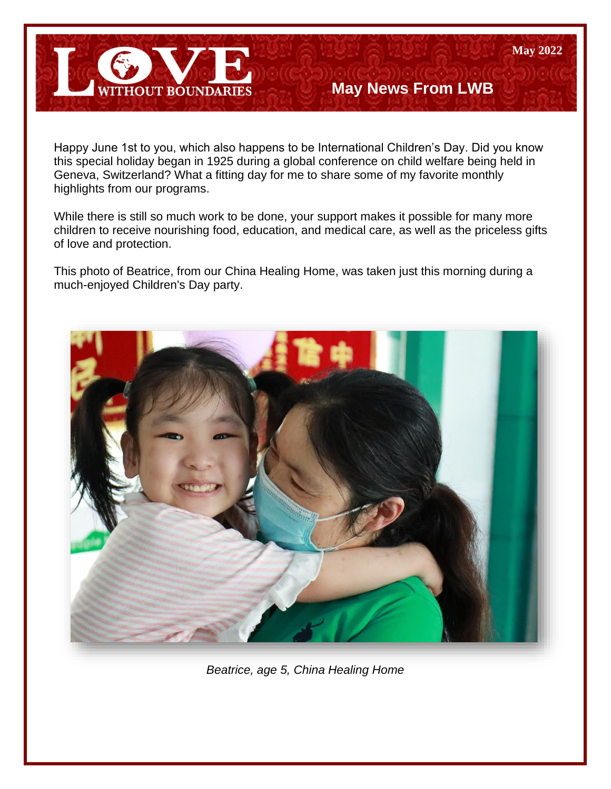

# **May News From LWB**

**May 2022**

Happy June 1st to you, which also happens to be International Children's Day. Did you know this special holiday began in 1925 during a global conference on child welfare being held in Geneva, Switzerland? What a fitting day for me to share some of my favorite monthly highlights from our programs.

While there is still so much work to be done, your support makes it possible for many more children to receive nourishing food, education, and medical care, as well as the priceless gifts of love and protection.

This photo of Beatrice, from our China Healing Home, was taken just this morning during a much-enjoyed Children's Day party.



*Beatrice, age 5, China Healing Home*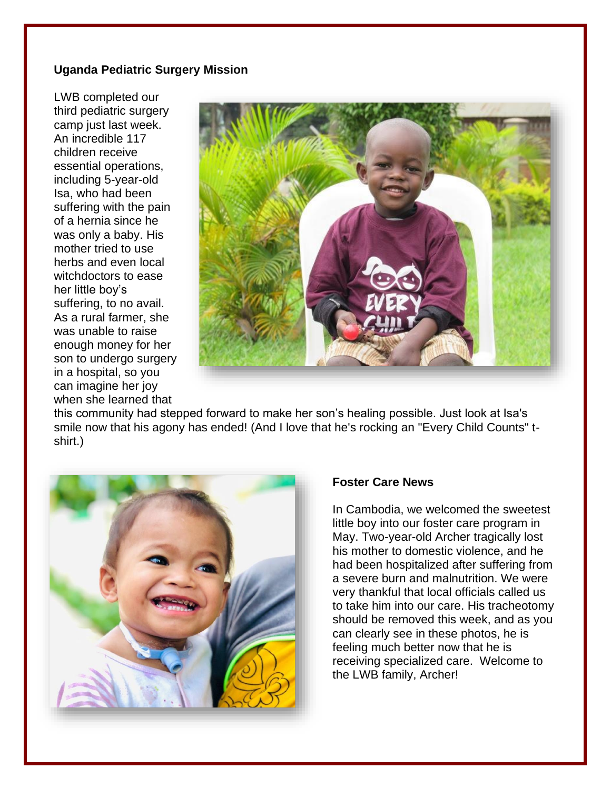## **Uganda Pediatric Surgery Mission**

LWB completed our third pediatric surgery camp just last week. An incredible 117 children receive essential operations, including 5-year-old Isa, who had been suffering with the pain of a hernia since he was only a baby. His mother tried to use herbs and even local witchdoctors to ease her little boy's suffering, to no avail. As a rural farmer, she was unable to raise enough money for her son to undergo surgery in a hospital, so you can imagine her joy when she learned that



this community had stepped forward to make her son's healing possible. Just look at Isa's smile now that his agony has ended! (And I love that he's rocking an "Every Child Counts" tshirt.)



### **Foster Care News**

In Cambodia, we welcomed the sweetest little boy into our foster care program in May. Two-year-old Archer tragically lost his mother to domestic violence, and he had been hospitalized after suffering from a severe burn and malnutrition. We were very thankful that local officials called us to take him into our care. His tracheotomy should be removed this week, and as you can clearly see in these photos, he is feeling much better now that he is receiving specialized care. Welcome to the LWB family, Archer!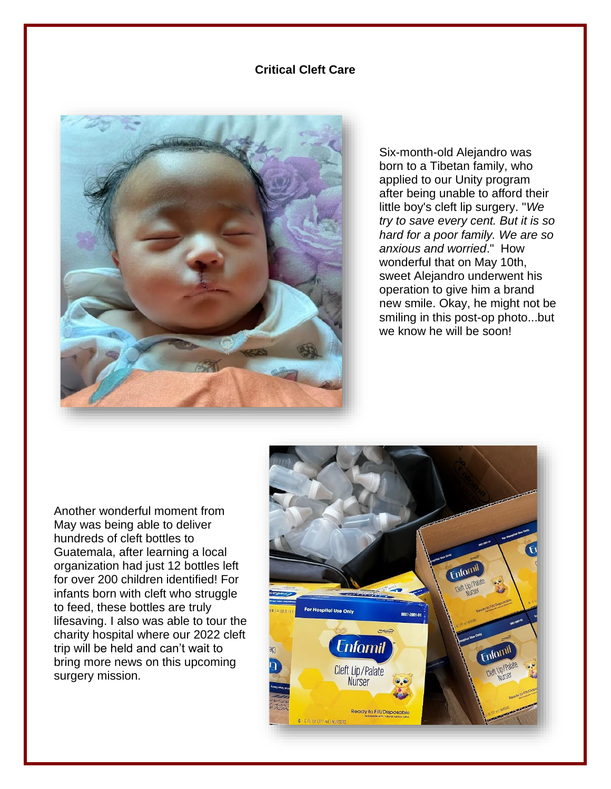#### **Critical Cleft Care**



Six-month-old Alejandro was born to a Tibetan family, who applied to our Unity program after being unable to afford their little boy's cleft lip surgery. "*We try to save every cent. But it is so hard for a poor family. We are so anxious and worried*." How wonderful that on May 10th, sweet Alejandro underwent his operation to give him a brand new smile. Okay, he might not be smiling in this post-op photo...but we know he will be soon!

Another wonderful moment from May was being able to deliver hundreds of cleft bottles to Guatemala, after learning a local organization had just 12 bottles left for over 200 children identified! For infants born with cleft who struggle to feed, these bottles are truly lifesaving. I also was able to tour the charity hospital where our 2022 cleft trip will be held and can't wait to bring more news on this upcoming surgery mission.